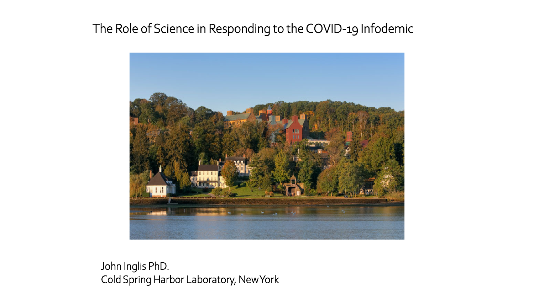# The Role of Science in Responding to the COVID-19 Infodemic



John Inglis PhD. Cold Spring Harbor Laboratory, New York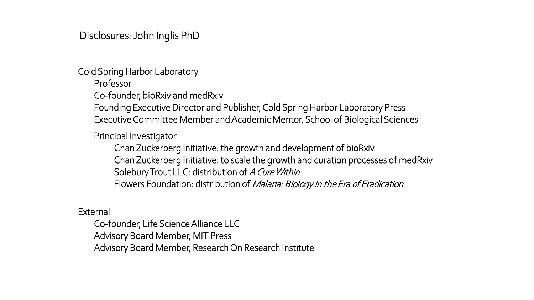Disclosures: John Inglis PhD

Cold Spring Harbor Laboratory

Professor

Co-founder, bioRxiv and medRxiv

Founding Executive Director and Publisher, Cold Spring Harbor Laboratory Press Executive Committee Member and Academic Mentor, School of Biological Sciences

Principal Investigator

Chan Zuckerberg Initiative: the growth and development of bioRxiv

Chan Zuckerberg Initiative: to scale the growth and curation processes of medRxiv

Solebury Trout LLC: distribution of A Cure Within

Flowers Foundation: distribution of *Malaria: Biology in the Era of Eradication* 

External

Co-founder, Life Science Alliance LLC Advisory Board Member, MIT Press Advisory Board Member, Research On Research Institute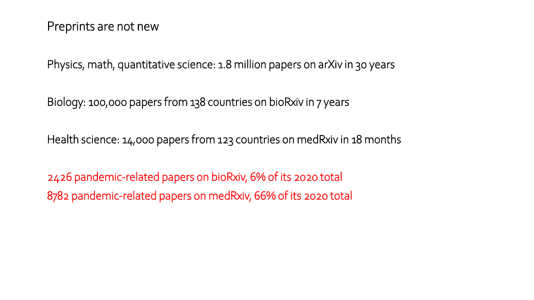### Preprints are not new

Physics, math, quantitative science: 1.8 million papers on arXiv in 30 years

Biology: 100,000 papers from 138 countries on bioRxiv in 7 years

Health science: 14,000 papers from 123 countries on medRxiv in 18 months

2426 pandemic-related papers on bioRxiv, 6% of its 2020 total 8782 pandemic-related papers on medRxiv, 66% of its 2020 total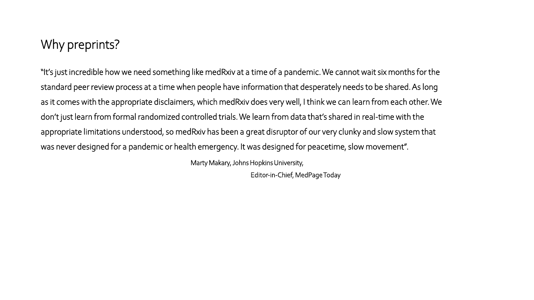## Why preprints?

"It's just incredible how we need something like medRxiv at a time of a pandemic. We cannot wait six months for the standard peer review process at a time when people have information that desperately needs to be shared. As long as it comes with the appropriate disclaimers, which medRxiv does very well, I think we can learn from each other. We don't just learn from formal randomized controlled trials. We learn from data that's shared in real-time with the appropriate limitations understood, so medRxiv has been a great disruptor of our very clunky and slow system that was never designed for a pandemic or health emergency. It was designed for peacetime, slow movement".

Marty Makary, Johns Hopkins University,

Editor-in-Chief, MedPageToday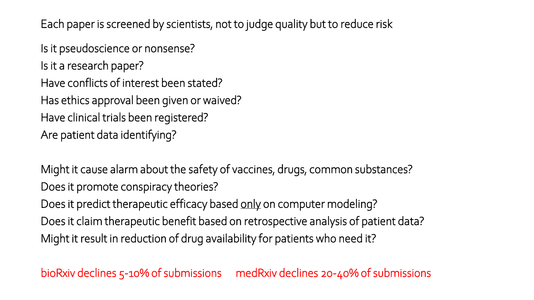Each paper is screened by scientists, not to judge quality but to reduce risk

Is it pseudoscience or nonsense? Is it a research paper? Have conflicts of interest been stated? Has ethics approval been given or waived? Have clinical trials been registered? Are patient data identifying?

Might it cause alarm about the safety of vaccines, drugs, common substances? Does it promote conspiracy theories? Does it predict therapeutic efficacy based only on computer modeling? Does it claim therapeutic benefit based on retrospective analysis of patient data? Might it result in reduction of drug availability for patients who need it?

bioRxiv declines 5-10% of submissions medRxiv declines 20-40% of submissions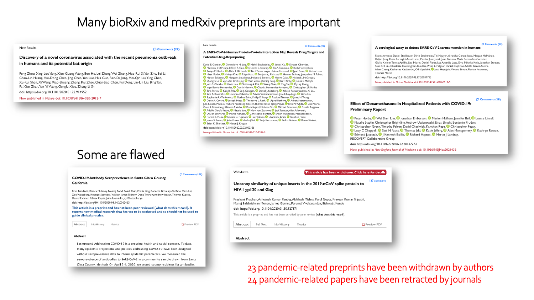### Many bioRxiv and medRxiv preprints are important

#### New Results

#### C Comments (27)

#### Discovery of a novel coronavirus associated with the recent pneumonia outbreak in humans and its potential bat origin

Peng Zhou, Xing-Lou Yang, Xian-Guang Wang, Ben Hu, Lei Zhang, Wei Zhang, Hao-Rui Si, Yan Zhu, Bei Li, Chao-Lin Huang, Hui-Dong Chen, Jing Chen, Yun Luo, Hua Guo, Ren-Di Jiang, Mei-Qin Liu, Ying Chen, Xu-Rui Shen, Xi Wang, Xiao-Shuang Zheng, Kai Zhao, Quan-Jiao Chen, Fei Deng, Lin-Lin Liu, Bing Yan, Fa-Xian Zhan, Yan-Yi Wang, Gengfu Xiao, Zheng-Li Shi

doi: https://doi.org/10.1101/2020.01.22.914952

Now published in Nature doi: 10.1038/s41586-020-2012-7

#### New Results

#### A SARS-CoV-2-Human Protein-Protein Interaction Map Reveals Drug Targets and **Potential Drug-Repurposing**

C Comments (29)

David E. Gordon, O Gwendolyn M. Jang, O Mehdi Bouhaddou, O Jiewei Xu, O Kirsten Obernier, Matthew J. O'Meara, Jeffrey Z. Guo, O Danielle L. Swaney, O Tia A. Tummino, O Ruth Huettenhain, <sup>1</sup> Robyn M. Kaake, <sup>1</sup> Alicia L. Richards, <sup>1</sup> Beril Tutuncuoglu, Helene Foussard, <sup>1</sup> Jyoti Batra, <sup>1</sup> Kelsey Haas, Maya Modak, O Minkyu Kim, O Paige Haas, O Benjamin J. Polacco, O Hannes Braberg, Jacqueline M. Fabius, <sup>1</sup> Manon Eckhardt, <sup>1</sup> Margaret Soucheray, Melanie J. Bennett, <sup>1</sup> Merve Cakir, <sup>1</sup> Michael J. McGregor, O Qiongyu Li, O Zun Zar Chi Naing, O Yuan Zhou, Shiming Peng, O Ilsa T. Kirby, O James E. Melnyk, **O** John S. Chorba, **O** Kevin Lou, **O** Shizhong A. Dai, O Wengi Shen, O Ying Shi, O Ziyang Zhang, C Inigo Barrio-Hernandez, C Danish Memon, C Claudia Hernandez-Armenta, C Christopher J.P. Mathy, <sup>1</sup> Tina Perica, <sup>5</sup> Kala B. Pilla, <sup>5</sup> Sai J. Ganesan, <sup>5</sup> Daniel J. Saltzberg, <sup>5</sup> Rakesh Ramachandran, Xi Liu, Sara B. Rosenthal, C Lorenzo Calviello, C Srivats Venkataramanan, Jose Liboy-Lugo, C Yizhu Lin, Stephanie A. Wankowicz, & Markus Bohn, Phillip P. Sharp, & Raphael Trenker, & Janet M. Young. **C** Devin A. Cavero, C Joseph Hiatt, C Theodore L. Roth, C Ujiwal Rathore, C Advait Subramanian, Julia Noack, Mathieu Hubert, Ferdinand Roesch, Thomas Vallet, Björn Meyer, O Kris M. White, O Lisa Miorin, Oren S. Rosenberg, Kliment A Verba, O David Agard, Melanie Ott, O Michael Emerman, O Davide Ruggero, Adolfo García-Sastre, O Natalia Jura, O Mark von Zastrow, O Jack Taunton, Alan Ashworth, O Olivier Schwartz, O Marco Vignuzzi, O Christophe d'Enfert, O Shaeri Mukherjee, Matt Jacobson, <sup>1</sup> Harmit S. Malik, <sup>1</sup> Danica G. Fujimori, <sup>1</sup> Trey Ideker, <sup>1</sup> Charles S. Craik, <sup>1</sup> Stephen Floor, **C** lames S. Fraser, C John Gross, C Andrei Sali, C Tanja Kortemme, C Pedro Beltrao, C Kevan Shokat, Brian K. Shoichet, B Nevan J. Krogan doi: https://doi.org/10.1101/2020.03.22.002386

Now published in Nature doi: 10.1038/s41586-020-2286-9

#### A serological assay to detect SARS-CoV-2 seroconversion in humans

Fatima Amanat, Daniel Stadlbauer, Shirin Strohmeier, Thi Nguyen, Veronika Chromikova, Meagan McMahon, Kaijun Jiang, Guha Asthagiri-Arunkumar, Denise Jurczyszak, Jose Polanco, Maria Bermudez-Gonzalez, Giulio Kleiner, Teresa Aydillo, Lisa Miorin, Daniel Fierer, Luz Amarilis Lugo, Erna Milunka Kojic, Jonathan Stoever, Sean T.H. Liu, Charlotte Cunningham-Rundles, Philip L. Felgner, Daniel Caplivski, Adolfo Garcia-Sastre, Allen Cheng, Katherine Kedzierska, Olli Vapalahti, Olussi Hepojoki, Viviana Simon, Florian Krammer, Thomas Moran

doi: https://doi.org/10.1101/2020.03.17.20037713

Now published in Nature Medicine doi: 10.1038/s41591-020-0913-5

#### C Comments (18)

 $OCon$ 

ents  $(12)$ 

#### Effect of Dexamethasone in Hospitalized Patients with COVID-19: **Preliminary Report**

**D** Peter Horby, <mark>D</mark> Wei Shen Lim, <mark>D</mark> Jonathan Emberson, D Marion Mafham, Jennifer Bell, <mark>D</mark> Louise Linsell, Natalie Staplin, Christopher Brightling, Andrew Ustianowski, Einas Elmahi, Benjamin Prudon, Christopher Green, Timothy Felton, David Chadwick, Kanchan Rege, C Christopher Fegan, **D** Lucy C Chappell, **D** Saul N Faust, **D** Thomas Jaki, **D** Katie Jeffery, **D** Alan Montgomery, **D** Kathryn Rowan, **BE Edmund Juszczak, B** J Kenneth Baillie, B Richard Haynes, B Martin J Landray, RECOVERY Collaborative Group

doi: https://doi.org/10.1101/2020.06.22.20137273

This article has been withdrawn. Click here for details

Now published in New England Journal of Medicine doi: 10.1056/NEJMoa2021436

### Some are flawed

Clara County. Methods On April 3-4, 2020, we tested county residents for antibodies

|                                                                                                                                                                                                                                                                                                                                                                                                                                                                                                                                                  | Comments (577) | Withdrawn                                                                                                                                                                                            | This article has been withdrawn. Click h                               |                                                                                                                                                |
|--------------------------------------------------------------------------------------------------------------------------------------------------------------------------------------------------------------------------------------------------------------------------------------------------------------------------------------------------------------------------------------------------------------------------------------------------------------------------------------------------------------------------------------------------|----------------|------------------------------------------------------------------------------------------------------------------------------------------------------------------------------------------------------|------------------------------------------------------------------------|------------------------------------------------------------------------------------------------------------------------------------------------|
| COVID-19 Antibody Seroprevalence in Santa Clara County,                                                                                                                                                                                                                                                                                                                                                                                                                                                                                          |                |                                                                                                                                                                                                      |                                                                        |                                                                                                                                                |
| California                                                                                                                                                                                                                                                                                                                                                                                                                                                                                                                                       |                |                                                                                                                                                                                                      | Uncanny similarity of unique inserts in the 2019-nCoV spike protein to |                                                                                                                                                |
| Eran Bendavid, Bianca Mulaney, Neeraj Sood, Soleil Shah, Emilia Ling, Rebecca Bromley-Dulfano, Cara Lai,<br>Zoe Weissberg, Rodrigo Saavedra-Walker, James Tedrow, Dona Tversky, Andrew Bogan, Thomas Kupiec,<br>Daniel Eichner, Ribhav Gupta, John Ioannidis, Jay Bhattacharya<br>doi: https://doi.org/10.1101/2020.04.14.20062463<br>This article is a preprint and has not been peer-reviewed [what does this mean?]. It<br>reports new medical research that has yet to be evaluated and so should not be used to<br>guide clinical practice. |                | HIV-1 gp120 and Gag<br>Prashant Pradhan, Ashutosh Kumar Pandey, Akhilesh Mishra, Parul Gupta, Praveen Kumar Tripathi<br>Manoj Balakrishnan Menon, James Gomes, Perumal Vivekanandan, Bishwajit Kundu |                                                                        |                                                                                                                                                |
|                                                                                                                                                                                                                                                                                                                                                                                                                                                                                                                                                  |                |                                                                                                                                                                                                      |                                                                        | doi: https://doi.org/10.1101/2020.01.30.927871<br>This article is a preprint and has not been certified by peer review [what does this mean?]. |
|                                                                                                                                                                                                                                                                                                                                                                                                                                                                                                                                                  |                | Info/History<br>Metrics<br>Abstract                                                                                                                                                                  | Preview PDF                                                            | Full Text<br>Info/History<br>Abstract                                                                                                          |
| Abstract                                                                                                                                                                                                                                                                                                                                                                                                                                                                                                                                         |                | Abstract                                                                                                                                                                                             |                                                                        |                                                                                                                                                |
| Background Addressing COVID-19 is a pressing health and social concern. To date,<br>many epidemic projections and policies addressing COVID-19 have been designed<br>without seroprevalence data to inform epidemic parameters. We measured the<br>seroprevalence of antibodies to SARS-CoV-2 in a community sample drawn from Santa                                                                                                                                                                                                             |                |                                                                                                                                                                                                      |                                                                        |                                                                                                                                                |

23 pandemic-related preprints have been withdrawn by authors 24 pandemic-related papers have been retracted by journals

Preview PDF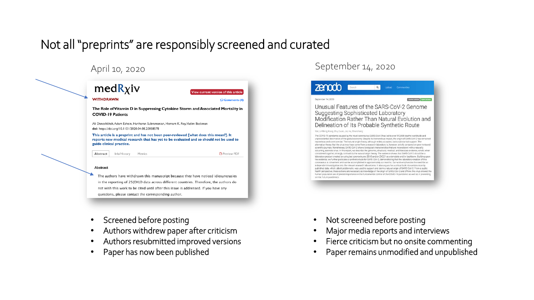### Not all "preprints" are responsibly screened and curated



- Screened before posting
- Authors withdrew paper after criticism
- Authors resubmitted improved versions
- Paper has now been published

### September 14, 2020



- Not screened before posting
- Major media reports and interviews
- Fierce criticism but no onsite commenting
- Paper remains unmodified and unpublished